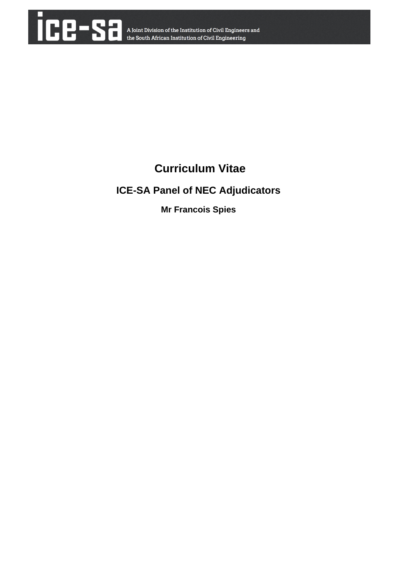

# **Curriculum Vitae**

## **ICE-SA Panel of NEC Adjudicators**

**Mr Francois Spies**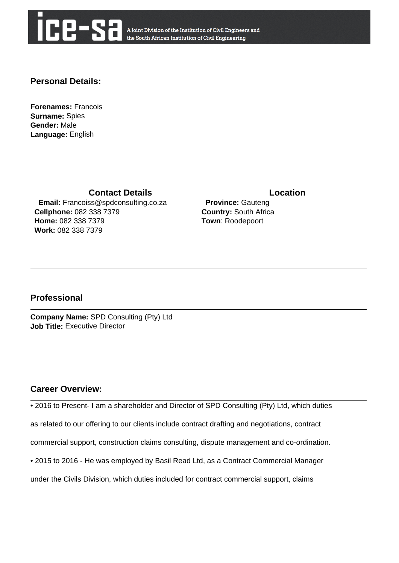

A Joint Division of the Institution of Civil Engineers and the South African Institution of Civil Engineering

## **Personal Details:**

**Forenames:** Francois **Surname:** Spies **Gender:** Male **Language:** English

**Contact Details Contact Details** 

 **Email:** Francoiss@spdconsulting.co.za **Cellphone:** 082 338 7379 **Home:** 082 338 7379 **Work:** 082 338 7379

 **Province:** Gauteng **Country:** South Africa **Town**: Roodepoort

## **Professional**

**Company Name:** SPD Consulting (Pty) Ltd **Job Title:** Executive Director

## **Career Overview:**

• 2016 to Present- I am a shareholder and Director of SPD Consulting (Pty) Ltd, which duties

as related to our offering to our clients include contract drafting and negotiations, contract

commercial support, construction claims consulting, dispute management and co-ordination.

• 2015 to 2016 - He was employed by Basil Read Ltd, as a Contract Commercial Manager

under the Civils Division, which duties included for contract commercial support, claims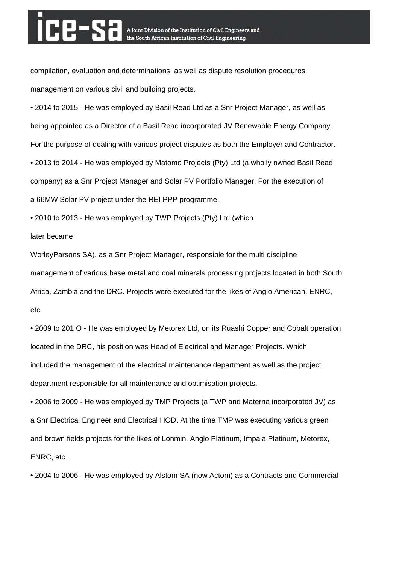compilation, evaluation and determinations, as well as dispute resolution procedures management on various civil and building projects.

• 2014 to 2015 - He was employed by Basil Read Ltd as a Snr Project Manager, as well as being appointed as a Director of a Basil Read incorporated JV Renewable Energy Company. For the purpose of dealing with various project disputes as both the Employer and Contractor. • 2013 to 2014 - He was employed by Matomo Projects (Pty) Ltd (a wholly owned Basil Read company) as a Snr Project Manager and Solar PV Portfolio Manager. For the execution of a 66MW Solar PV project under the REI PPP programme.

• 2010 to 2013 - He was employed by TWP Projects (Pty) Ltd (which

### later became

WorleyParsons SA), as a Snr Project Manager, responsible for the multi discipline management of various base metal and coal minerals processing projects located in both South Africa, Zambia and the DRC. Projects were executed for the likes of Anglo American, ENRC, etc

• 2009 to 201 O - He was employed by Metorex Ltd, on its Ruashi Copper and Cobalt operation located in the DRC, his position was Head of Electrical and Manager Projects. Which included the management of the electrical maintenance department as well as the project department responsible for all maintenance and optimisation projects.

• 2006 to 2009 - He was employed by TMP Projects (a TWP and Materna incorporated JV) as a Snr Electrical Engineer and Electrical HOD. At the time TMP was executing various green and brown fields projects for the likes of Lonmin, Anglo Platinum, Impala Platinum, Metorex, ENRC, etc

• 2004 to 2006 - He was employed by Alstom SA (now Actom) as a Contracts and Commercial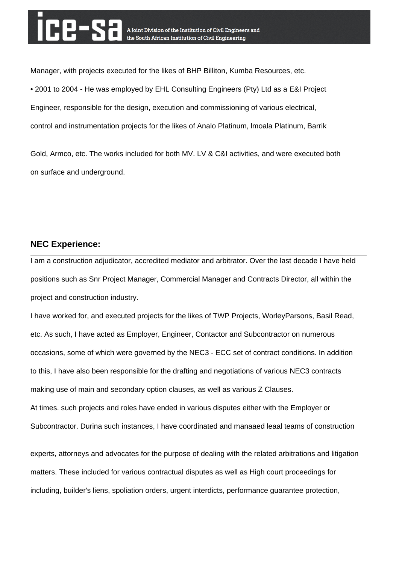Manager, with projects executed for the likes of BHP Billiton, Kumba Resources, etc. • 2001 to 2004 - He was employed by EHL Consulting Engineers (Pty) Ltd as a E&I Project Engineer, responsible for the design, execution and commissioning of various electrical, control and instrumentation projects for the likes of Analo Platinum, lmoala Platinum, Barrik

Gold, Armco, etc. The works included for both MV. LV & C&I activities, and were executed both on surface and underground.

## **NEC Experience:**

I am a construction adjudicator, accredited mediator and arbitrator. Over the last decade I have held positions such as Snr Project Manager, Commercial Manager and Contracts Director, all within the project and construction industry.

I have worked for, and executed projects for the likes of TWP Projects, WorleyParsons, Basil Read, etc. As such, I have acted as Employer, Engineer, Contactor and Subcontractor on numerous occasions, some of which were governed by the NEC3 - ECC set of contract conditions. In addition to this, I have also been responsible for the drafting and negotiations of various NEC3 contracts making use of main and secondary option clauses, as well as various Z Clauses. At times. such projects and roles have ended in various disputes either with the Employer or Subcontractor. Durina such instances, I have coordinated and manaaed leaal teams of construction

experts, attorneys and advocates for the purpose of dealing with the related arbitrations and litigation matters. These included for various contractual disputes as well as High court proceedings for including, builder's liens, spoliation orders, urgent interdicts, performance guarantee protection,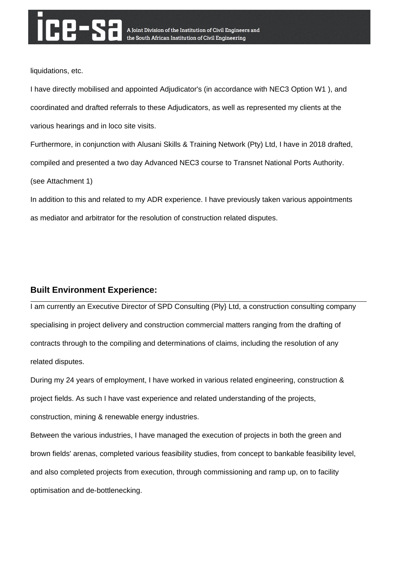liquidations, etc.

I have directly mobilised and appointed Adjudicator's (in accordance with NEC3 Option W1 ), and coordinated and drafted referrals to these Adjudicators, as well as represented my clients at the various hearings and in loco site visits.

Furthermore, in conjunction with Alusani Skills & Training Network (Pty) Ltd, I have in 2018 drafted, compiled and presented a two day Advanced NEC3 course to Transnet National Ports Authority. (see Attachment 1)

In addition to this and related to my ADR experience. I have previously taken various appointments as mediator and arbitrator for the resolution of construction related disputes.

## **Built Environment Experience:**

I am currently an Executive Director of SPD Consulting (Ply} Ltd, a construction consulting company specialising in project delivery and construction commercial matters ranging from the drafting of contracts through to the compiling and determinations of claims, including the resolution of any related disputes.

During my 24 years of employment, I have worked in various related engineering, construction & project fields. As such I have vast experience and related understanding of the projects, construction, mining & renewable energy industries.

Between the various industries, I have managed the execution of projects in both the green and brown fields' arenas, completed various feasibility studies, from concept to bankable feasibility level, and also completed projects from execution, through commissioning and ramp up, on to facility optimisation and de-bottlenecking.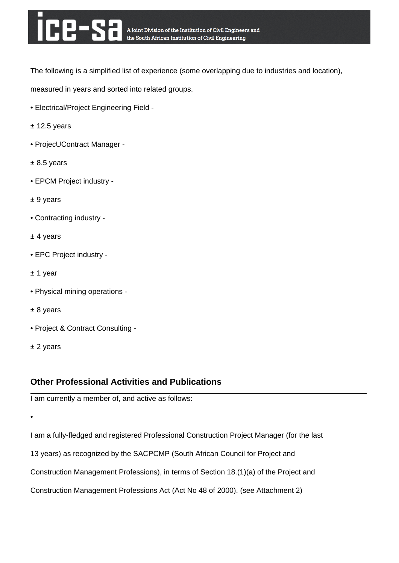The following is a simplified list of experience (some overlapping due to industries and location),

measured in years and sorted into related groups.

- Electrical/Project Engineering Field -
- $±$  12.5 years
- ProjecUContract Manager -
- $± 8.5$  years
- EPCM Project industry -
- ± 9 years
- Contracting industry -
- ± 4 years
- EPC Project industry -
- ± 1 year
- Physical mining operations -
- ± 8 years
- Project & Contract Consulting -
- ± 2 years

## **Other Professional Activities and Publications**

I am currently a member of, and active as follows:

•

I am a fully-fledged and registered Professional Construction Project Manager (for the last 13 years) as recognized by the SACPCMP (South African Council for Project and Construction Management Professions), in terms of Section 18.(1)(a) of the Project and Construction Management Professions Act (Act No 48 of 2000). (see Attachment 2)